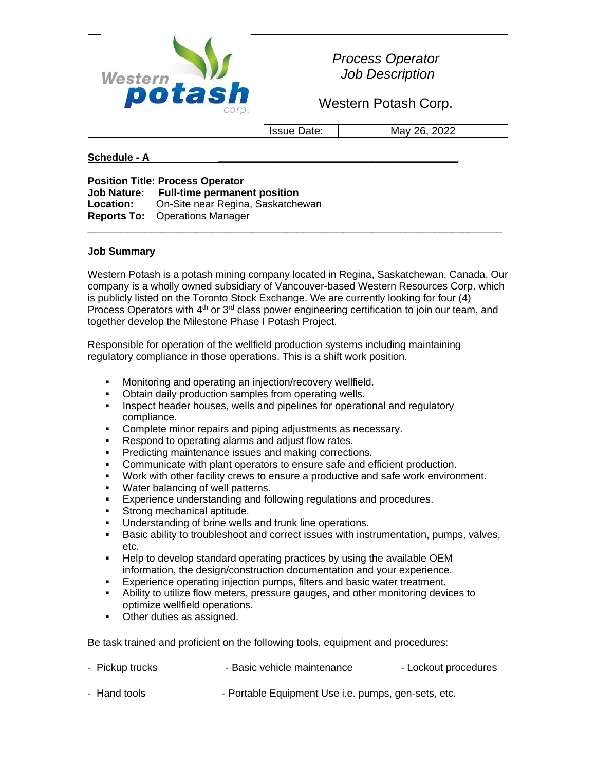

*Process Operator Job Description*

Western Potash Corp.

Issue Date: May 26, 2022

## **Schedule - A \_\_\_\_\_\_\_\_\_\_\_\_\_\_\_\_\_\_\_\_\_\_\_\_\_\_\_\_\_\_\_\_\_\_\_\_\_\_\_\_\_\_\_\_\_\_\_**

**Position Title: Process Operator Job Nature: Full-time permanent position Location:** On-Site near Regina, Saskatchewan **Reports To:** Operations Manager

## **Job Summary**

Western Potash is a potash mining company located in Regina, Saskatchewan, Canada. Our company is a wholly owned subsidiary of Vancouver-based Western Resources Corp. which is publicly listed on the Toronto Stock Exchange. We are currently looking for four (4) Process Operators with  $4<sup>th</sup>$  or  $3<sup>rd</sup>$  class power engineering certification to join our team, and together develop the Milestone Phase I Potash Project.

 $\_$  ,  $\_$  ,  $\_$  ,  $\_$  ,  $\_$  ,  $\_$  ,  $\_$  ,  $\_$  ,  $\_$  ,  $\_$  ,  $\_$  ,  $\_$  ,  $\_$  ,  $\_$  ,  $\_$  ,  $\_$  ,  $\_$  ,  $\_$  ,  $\_$  ,  $\_$  ,  $\_$  ,  $\_$  ,  $\_$  ,  $\_$  ,  $\_$  ,  $\_$  ,  $\_$  ,  $\_$  ,  $\_$  ,  $\_$  ,  $\_$  ,  $\_$  ,  $\_$  ,  $\_$  ,  $\_$  ,  $\_$  ,  $\_$  ,

Responsible for operation of the wellfield production systems including maintaining regulatory compliance in those operations. This is a shift work position.

- Monitoring and operating an injection/recovery wellfield.
- **Obtain daily production samples from operating wells.**
- **•** Inspect header houses, wells and pipelines for operational and regulatory compliance.
- Complete minor repairs and piping adjustments as necessary.
- Respond to operating alarms and adjust flow rates.
- **Predicting maintenance issues and making corrections.**
- Communicate with plant operators to ensure safe and efficient production.
- Work with other facility crews to ensure a productive and safe work environment.
- Water balancing of well patterns.
- **Experience understanding and following regulations and procedures.**
- Strong mechanical aptitude.
- Understanding of brine wells and trunk line operations.
- **EXEC** Basic ability to troubleshoot and correct issues with instrumentation, pumps, valves, etc.
- Help to develop standard operating practices by using the available OEM information, the design/construction documentation and your experience.
- Experience operating injection pumps, filters and basic water treatment.
- Ability to utilize flow meters, pressure gauges, and other monitoring devices to optimize wellfield operations.
- Other duties as assigned.

Be task trained and proficient on the following tools, equipment and procedures:

| - Pickup trucks | - Basic vehicle maintenance | - Lockout procedures |
|-----------------|-----------------------------|----------------------|
|                 |                             |                      |

- Hand tools - Portable Equipment Use i.e. pumps, gen-sets, etc.